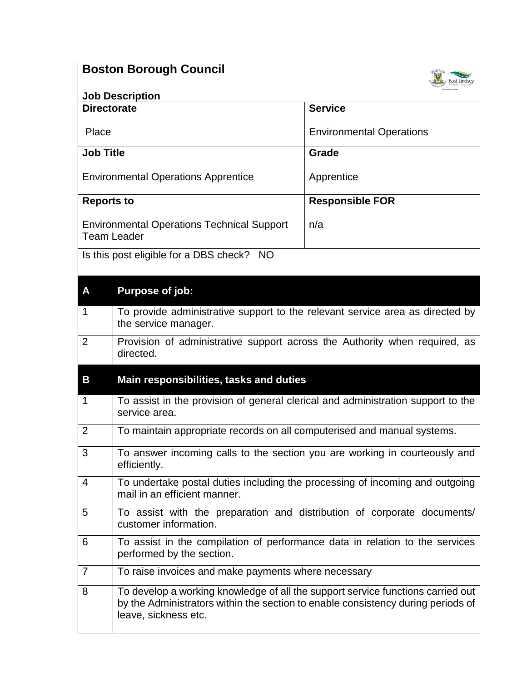|                                                                         | <b>Boston Borough Council</b>                                                                                                                                                               |                                 |
|-------------------------------------------------------------------------|---------------------------------------------------------------------------------------------------------------------------------------------------------------------------------------------|---------------------------------|
|                                                                         | <b>Job Description</b>                                                                                                                                                                      |                                 |
| <b>Directorate</b>                                                      |                                                                                                                                                                                             | <b>Service</b>                  |
| Place                                                                   |                                                                                                                                                                                             | <b>Environmental Operations</b> |
| <b>Job Title</b>                                                        |                                                                                                                                                                                             | Grade                           |
| <b>Environmental Operations Apprentice</b>                              |                                                                                                                                                                                             | Apprentice                      |
|                                                                         |                                                                                                                                                                                             |                                 |
| <b>Reports to</b>                                                       |                                                                                                                                                                                             | <b>Responsible FOR</b>          |
| <b>Environmental Operations Technical Support</b><br><b>Team Leader</b> |                                                                                                                                                                                             | n/a                             |
|                                                                         | Is this post eligible for a DBS check? NO                                                                                                                                                   |                                 |
| A                                                                       | Purpose of job:                                                                                                                                                                             |                                 |
| $\mathbf 1$                                                             | To provide administrative support to the relevant service area as directed by<br>the service manager.                                                                                       |                                 |
| $\overline{2}$                                                          | Provision of administrative support across the Authority when required, as<br>directed.                                                                                                     |                                 |
| B                                                                       | Main responsibilities, tasks and duties                                                                                                                                                     |                                 |
| 1                                                                       | To assist in the provision of general clerical and administration support to the<br>service area.                                                                                           |                                 |
| $\overline{2}$                                                          | To maintain appropriate records on all computerised and manual systems.                                                                                                                     |                                 |
| 3                                                                       | To answer incoming calls to the section you are working in courteously and<br>efficiently.                                                                                                  |                                 |
| 4                                                                       | To undertake postal duties including the processing of incoming and outgoing<br>mail in an efficient manner.                                                                                |                                 |
| 5                                                                       | To assist with the preparation and distribution of corporate documents/<br>customer information.                                                                                            |                                 |
| 6                                                                       | To assist in the compilation of performance data in relation to the services<br>performed by the section.                                                                                   |                                 |
| $\overline{7}$                                                          | To raise invoices and make payments where necessary                                                                                                                                         |                                 |
| 8                                                                       | To develop a working knowledge of all the support service functions carried out<br>by the Administrators within the section to enable consistency during periods of<br>leave, sickness etc. |                                 |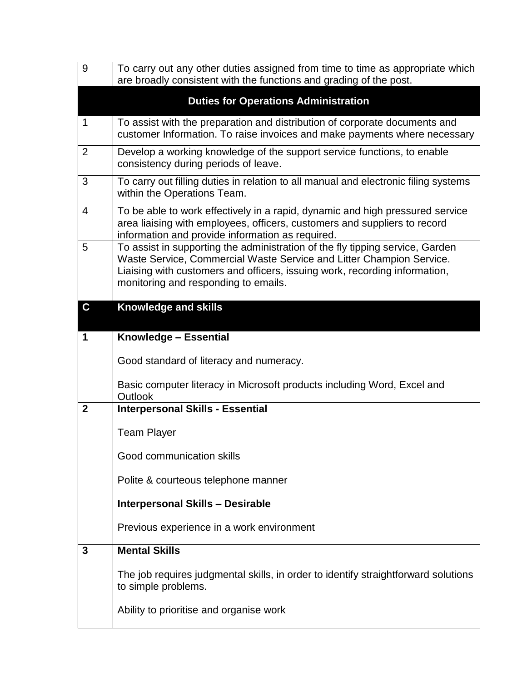| 9            | To carry out any other duties assigned from time to time as appropriate which<br>are broadly consistent with the functions and grading of the post.                                                                                                                         |
|--------------|-----------------------------------------------------------------------------------------------------------------------------------------------------------------------------------------------------------------------------------------------------------------------------|
|              | <b>Duties for Operations Administration</b>                                                                                                                                                                                                                                 |
| $\mathbf 1$  | To assist with the preparation and distribution of corporate documents and<br>customer Information. To raise invoices and make payments where necessary                                                                                                                     |
| 2            | Develop a working knowledge of the support service functions, to enable<br>consistency during periods of leave.                                                                                                                                                             |
| 3            | To carry out filling duties in relation to all manual and electronic filing systems<br>within the Operations Team.                                                                                                                                                          |
| 4            | To be able to work effectively in a rapid, dynamic and high pressured service<br>area liaising with employees, officers, customers and suppliers to record<br>information and provide information as required.                                                              |
| 5            | To assist in supporting the administration of the fly tipping service, Garden<br>Waste Service, Commercial Waste Service and Litter Champion Service.<br>Liaising with customers and officers, issuing work, recording information,<br>monitoring and responding to emails. |
| $\mathbf C$  | <b>Knowledge and skills</b>                                                                                                                                                                                                                                                 |
| 1            | Knowledge - Essential                                                                                                                                                                                                                                                       |
|              | Good standard of literacy and numeracy.                                                                                                                                                                                                                                     |
|              |                                                                                                                                                                                                                                                                             |
|              | Basic computer literacy in Microsoft products including Word, Excel and                                                                                                                                                                                                     |
| $\mathbf{2}$ | Outlook<br><b>Interpersonal Skills - Essential</b>                                                                                                                                                                                                                          |
|              | <b>Team Player</b>                                                                                                                                                                                                                                                          |
|              | Good communication skills                                                                                                                                                                                                                                                   |
|              | Polite & courteous telephone manner                                                                                                                                                                                                                                         |
|              | <b>Interpersonal Skills - Desirable</b>                                                                                                                                                                                                                                     |
|              | Previous experience in a work environment                                                                                                                                                                                                                                   |
| 3            | <b>Mental Skills</b>                                                                                                                                                                                                                                                        |
|              | The job requires judgmental skills, in order to identify straightforward solutions<br>to simple problems.                                                                                                                                                                   |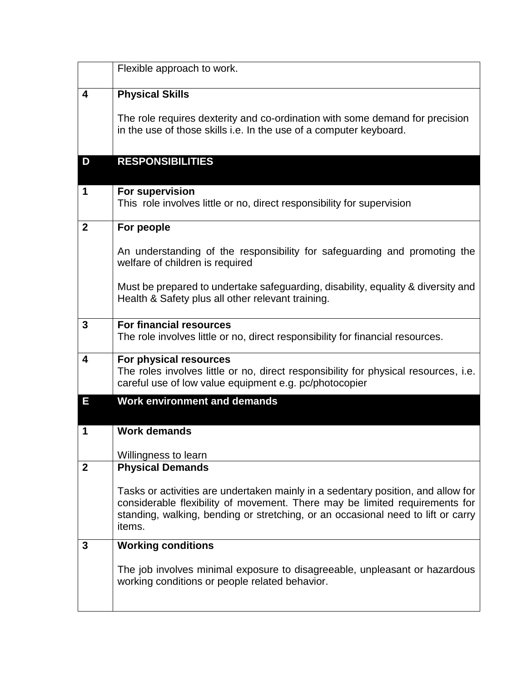|                         | Flexible approach to work.                                                                                                                                                                                                                                    |
|-------------------------|---------------------------------------------------------------------------------------------------------------------------------------------------------------------------------------------------------------------------------------------------------------|
| 4                       | <b>Physical Skills</b>                                                                                                                                                                                                                                        |
|                         | The role requires dexterity and co-ordination with some demand for precision<br>in the use of those skills i.e. In the use of a computer keyboard.                                                                                                            |
| D                       | <b>RESPONSIBILITIES</b>                                                                                                                                                                                                                                       |
| 1                       | For supervision<br>This role involves little or no, direct responsibility for supervision                                                                                                                                                                     |
| $\mathbf{2}$            | For people                                                                                                                                                                                                                                                    |
|                         | An understanding of the responsibility for safeguarding and promoting the<br>welfare of children is required                                                                                                                                                  |
|                         | Must be prepared to undertake safeguarding, disability, equality & diversity and<br>Health & Safety plus all other relevant training.                                                                                                                         |
| 3                       | <b>For financial resources</b><br>The role involves little or no, direct responsibility for financial resources.                                                                                                                                              |
| $\overline{\mathbf{4}}$ | For physical resources<br>The roles involves little or no, direct responsibility for physical resources, i.e.<br>careful use of low value equipment e.g. pc/photocopier                                                                                       |
| E                       | <b>Work environment and demands</b>                                                                                                                                                                                                                           |
| 1                       | <b>Work demands</b>                                                                                                                                                                                                                                           |
|                         | Willingness to learn                                                                                                                                                                                                                                          |
| $\mathbf{2}$            | <b>Physical Demands</b>                                                                                                                                                                                                                                       |
|                         | Tasks or activities are undertaken mainly in a sedentary position, and allow for<br>considerable flexibility of movement. There may be limited requirements for<br>standing, walking, bending or stretching, or an occasional need to lift or carry<br>items. |
| 3                       | <b>Working conditions</b>                                                                                                                                                                                                                                     |
|                         | The job involves minimal exposure to disagreeable, unpleasant or hazardous<br>working conditions or people related behavior.                                                                                                                                  |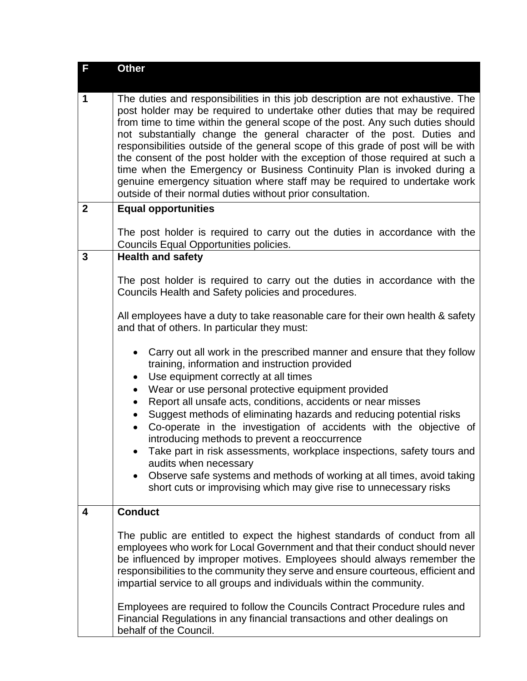| F              | <b>Other</b>                                                                                                                                                                                                                                                                                                                                                                                                                                                                                                                                                                                                                                                                                                         |  |
|----------------|----------------------------------------------------------------------------------------------------------------------------------------------------------------------------------------------------------------------------------------------------------------------------------------------------------------------------------------------------------------------------------------------------------------------------------------------------------------------------------------------------------------------------------------------------------------------------------------------------------------------------------------------------------------------------------------------------------------------|--|
| 1              | The duties and responsibilities in this job description are not exhaustive. The<br>post holder may be required to undertake other duties that may be required<br>from time to time within the general scope of the post. Any such duties should<br>not substantially change the general character of the post. Duties and<br>responsibilities outside of the general scope of this grade of post will be with<br>the consent of the post holder with the exception of those required at such a<br>time when the Emergency or Business Continuity Plan is invoked during a<br>genuine emergency situation where staff may be required to undertake work<br>outside of their normal duties without prior consultation. |  |
| $\overline{2}$ | <b>Equal opportunities</b>                                                                                                                                                                                                                                                                                                                                                                                                                                                                                                                                                                                                                                                                                           |  |
|                | The post holder is required to carry out the duties in accordance with the<br>Councils Equal Opportunities policies.                                                                                                                                                                                                                                                                                                                                                                                                                                                                                                                                                                                                 |  |
| 3              | <b>Health and safety</b>                                                                                                                                                                                                                                                                                                                                                                                                                                                                                                                                                                                                                                                                                             |  |
|                | The post holder is required to carry out the duties in accordance with the<br>Councils Health and Safety policies and procedures.                                                                                                                                                                                                                                                                                                                                                                                                                                                                                                                                                                                    |  |
|                | All employees have a duty to take reasonable care for their own health & safety<br>and that of others. In particular they must:                                                                                                                                                                                                                                                                                                                                                                                                                                                                                                                                                                                      |  |
|                | Carry out all work in the prescribed manner and ensure that they follow<br>$\bullet$<br>training, information and instruction provided<br>Use equipment correctly at all times<br>$\bullet$                                                                                                                                                                                                                                                                                                                                                                                                                                                                                                                          |  |
|                | Wear or use personal protective equipment provided<br>Report all unsafe acts, conditions, accidents or near misses                                                                                                                                                                                                                                                                                                                                                                                                                                                                                                                                                                                                   |  |
|                | Suggest methods of eliminating hazards and reducing potential risks<br>$\bullet$<br>Co-operate in the investigation of accidents with the objective of<br>$\bullet$                                                                                                                                                                                                                                                                                                                                                                                                                                                                                                                                                  |  |
|                | introducing methods to prevent a reoccurrence                                                                                                                                                                                                                                                                                                                                                                                                                                                                                                                                                                                                                                                                        |  |
|                | Take part in risk assessments, workplace inspections, safety tours and<br>audits when necessary                                                                                                                                                                                                                                                                                                                                                                                                                                                                                                                                                                                                                      |  |
|                | Observe safe systems and methods of working at all times, avoid taking<br>short cuts or improvising which may give rise to unnecessary risks                                                                                                                                                                                                                                                                                                                                                                                                                                                                                                                                                                         |  |
| 4              | <b>Conduct</b>                                                                                                                                                                                                                                                                                                                                                                                                                                                                                                                                                                                                                                                                                                       |  |
|                | The public are entitled to expect the highest standards of conduct from all<br>employees who work for Local Government and that their conduct should never<br>be influenced by improper motives. Employees should always remember the<br>responsibilities to the community they serve and ensure courteous, efficient and<br>impartial service to all groups and individuals within the community.                                                                                                                                                                                                                                                                                                                   |  |
|                | Employees are required to follow the Councils Contract Procedure rules and<br>Financial Regulations in any financial transactions and other dealings on<br>behalf of the Council.                                                                                                                                                                                                                                                                                                                                                                                                                                                                                                                                    |  |